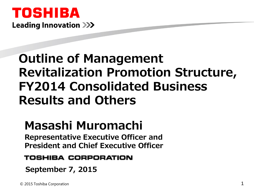# TOSHIBA **Leading Innovation >>>**

# **Outline of Management Revitalization Promotion Structure, FY2014 Consolidated Business Results and Others**

# **Masashi Muromachi**

**Representative Executive Officer and President and Chief Executive Officer**

### TOSHIBA CORPORATION

**September 7, 2015**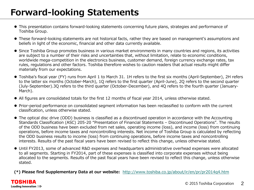# **Forward-looking Statements**

- This presentation contains forward-looking statements concerning future plans, strategies and performance of Toshiba Group.
- These forward-looking statements are not historical facts, rather they are based on management's assumptions and beliefs in light of the economic, financial and other data currently available.
- Since Toshiba Group promotes business in various market environments in many countries and regions, its activities are subject to a number of their risks and uncertainties that, without limitation, relate to economic conditions, worldwide mega-competition in the electronics business, customer demand, foreign currency exchange rates, tax rules, regulations and other factors. Toshiba therefore wishes to caution readers that actual results might differ materially from our expectations.
- Toshiba's fiscal year (FY) runs from April 1 to March 31. 1H refers to the first six months (April-September), 2H refers to the latter six months (October-March), 1Q refers to the first quarter (April-June), 2Q refers to the second quarter (July-September).3Q refers to the third quarter (October-December), and 4Q refers to the fourth quarter (January-March).
- All figures are consolidated totals for the first 12 months of fiscal year 2014, unless otherwise stated.
- Prior-period performance on consolidated segment information has been reclassified to conform with the current classification, unless otherwise stated.
- The optical disc drive (ODD) business is classified as a discontinued operation in accordance with the Accounting Standards Classification (ASC) 205-20 "Presentation of Financial Statements – Discontinued Operations". The results of the ODD business have been excluded from net sales, operating income (loss), and income (loss) from continuing operations, before income taxes and noncontrolling interests. Net income of Toshiba Group is calculated by reflecting the ODD business results to income (loss) from continuing operations, before income taxes and noncontrolling interests. Results of the past fiscal years have been revised to reflect this change, unless otherwise stated.
- Until FY2013, some of advanced R&D expenses and headquarters administrative overhead expenses were allocated to all segments. Starting in FY2014, part of these expenses is classified into corporate expenses without being allocated to the segments. Results of the past fiscal years have been revised to reflect this change, unless otherwise stated.

**(\*) Please find Supplementary Data at our website:** <http://www.toshiba.co.jp/about/ir/en/pr/pr2014q4.htm>

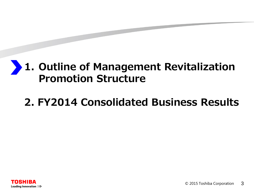### **1. Outline of Management Revitalization Promotion Structure**

# **2. FY2014 Consolidated Business Results**

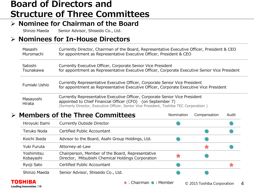## **Board of Directors and Structure of Three Committees**

### **Nominee for Chairman of the Board**

Shinzo Maeda Senior Advisor, Shiseido Co., Ltd.

### **Nominees for In-House Directors**

| Masashi             | Currently Director, Chairman of the Board, Representative Executive Officer, President & CEO                                                                                                                                         |
|---------------------|--------------------------------------------------------------------------------------------------------------------------------------------------------------------------------------------------------------------------------------|
| Muromachi           | for appointment as Representative Executive Officer, President & CEO                                                                                                                                                                 |
| Satoshi             | Currently Executive Officer, Corporate Senior Vice President                                                                                                                                                                         |
| Tsunakawa           | for appointment as Representative Executive Officer, Corporate Executive Senior Vice President                                                                                                                                       |
| Fumiaki Ushio       | Currently Representative Executive Officer, Corporate Senior Vice President<br>for appointment as Representative Executive Officer, Corporate Executive Vice President                                                               |
| Masayoshi<br>Hirata | Currently Representative Executive Officer, Corporate Senior Vice President<br>appointed to Chief Financial Officer (CFO) (on September 7)<br>(formerly Director, Executive Officer, Senior Vice President, Toshiba TEC Corporation) |

### **Members of the Three Committees**

| Hiroyuki Itami          | Currently Outside Director                                                                             |  |  |
|-------------------------|--------------------------------------------------------------------------------------------------------|--|--|
| Teruko Noda             | Certified Public Accountant                                                                            |  |  |
| Koichi Ikeda            | Advisor to the Board, Asahi Group Holdings, Ltd.                                                       |  |  |
| Yuki Furuta             | Attorney-at-Law                                                                                        |  |  |
| Yoshimitsu<br>Kobayashi | Chairperson, Member of the Board, Representative<br>Director, Mitsubishi Chemical Holdings Corporation |  |  |
| Ryoji Sato              | Certified Public Accountant                                                                            |  |  |
| Shinzo Maeda            | Senior Advisor, Shiseido Co., Ltd.                                                                     |  |  |



Nomination Compensation Audit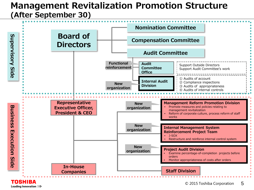### **Management Revitalization Promotion Structure (After September 30)**

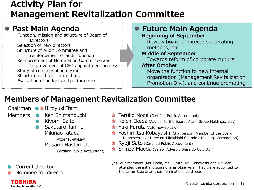## **Activity Plan for Management Revitalization Committee**

### **Past Main Agenda**

Function, mission and structure of Board of **Directors** Selection of new directors Structure of Audit Committee and reinforcement of audit function Reinforcement of Nomination Committee and Improvement of CEO appointment process Study of compensation design Structure of three committees Evaluation of budget and performance

#### **Future Main Agenda Beginning of September**

Review board of directors operating methods, etc.

#### **Middle of September**

Towards reform of corporate culture

#### **After October**

Move the function to new internal organization (Management Revitalization Promotion Div.), and continue promoting

## **Members of Management Revitalization Committee**

Members **C** Ken Shimanouchi Chairman ●★Hiroyuki Itami

- Kiyomi Saito
- Sakutaro Tanino Mikinao Kitada

(Attorney-at-Law) Masami Hashimoto

(Certified Public Accountant)

●: Current director

**TOSHIBA** Leading Innovation >>>

★: Nominee for director

- ★ Teruko Noda (Certified Public Accountant)
- ★ Koichi Ikeda (Advisor to the Board, Asahi Group Holdings, Ltd.)
- ★ Yuki Furuta (Attorney-at-Law)
- ★ Yoshimitsu Kobayashi (Chairperson, Member of the Board, Representative Director, Mitsubishi Chemical Holdings Corporation)
- ★ Ryoji Sato (Certified Public Accountant)
- ★ Shinzo Maeda (Senior Advisor, Shiseido Co., Ltd.)
- (\*) Four members (Ms. Noda, Mr. Furuta, Mr. Kobayashi and Mr.Sato) attended the initial discussions as observers. They were appointed to the committee after their nominations as directors.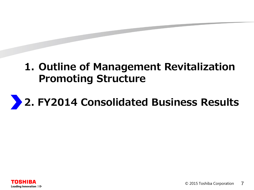# **1. Outline of Management Revitalization Promoting Structure**

# **2. FY2014 Consolidated Business Results**

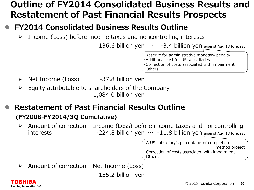# **Outline of FY2014 Consolidated Business Results and Restatement of Past Financial Results Prospects**

### **FY2014 Consolidated Business Results Outline**

 $\triangleright$  Income (Loss) before income taxes and noncontrolling interests

136.6 billion yen  $\cdots$  -3.4 billion yen against Aug 18 forecast

・Reserve for administrative monetary penalty ・Additional cost for US subsidiaries ・Correction of costs associated with impairment ・Others

- $\triangleright$  Net Income (Loss)  $-37.8$  billion yen
- $\triangleright$  Equity attributable to shareholders of the Company 1,084.0 billion yen
- **Restatement of Past Financial Results Outline (FY2008-FY2014/3Q Cumulative)**
	- $\triangleright$  Amount of correction Income (Loss) before income taxes and noncontrolling interests  $-224.8$  billion yen  $\cdots$  -11.8 billion yen against Aug 18 forecast

・A US subsidiary's percentage-of-completion method project ・Correction of costs associated with impairment ・Others

 $\triangleright$  Amount of correction - Net Income (Loss)

-155.2 billion yen

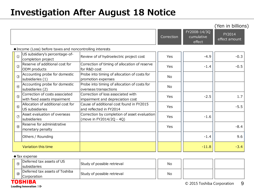# **Investigation After August 18 Notice**

|               |                                                                |                                                                          |                |                                      | (Yen in billions)       |
|---------------|----------------------------------------------------------------|--------------------------------------------------------------------------|----------------|--------------------------------------|-------------------------|
|               |                                                                |                                                                          | Correction     | FY2008-14/3Q<br>cumulative<br>effect | FY2014<br>effect amount |
|               | ◆ Income (Loss) before taxes and noncontrolling interests      |                                                                          |                |                                      |                         |
| $\circled{1}$ | US subsidiary's percentage-of-<br>completion project           | Review of of hydroelectric project cost                                  | Yes            | $-4.9$                               | $-0.3$                  |
| (2)           | Reserve of additional cost for<br>ODM products                 | Correction of timing of allocation of reserve<br>for R&D cost            | Yes            | $-1.4$                               | $-0.5$                  |
| $\circled{3}$ | Accounting probe for domestic<br>subsidiaries (1)              | Probe into timing of allocation of costs for<br>promotion expenses       | No             |                                      |                         |
| $\circled{4}$ | Accounting probe for domestic<br>subsidiaries (2)              | Probe into timing of allocation of costs for<br>overseas transactions    | N <sub>o</sub> |                                      |                         |
| (5)           | Correction of costs associated<br>with fixed assets impairment | Correction of loss associated with<br>impairment and depreciation cost   | Yes            | $-2.5$                               | 1.7                     |
| $\circled{6}$ | Allocation of additional cost for<br>US subsidiaries           | Cause of additional cost found in FY2015<br>and reflected in FY2014      | Yes            |                                      | $-5.5$                  |
| $\circled7$   | Asset evaluation of overseas<br><i>s</i> ubsidiaries           | Correction by completion of asset evaluation<br>(move in FY2014/2Q - 4Q) | Yes            | $-1.6$                               |                         |
| $\circledR$   | Reserve for administrative<br>monetary penalty                 |                                                                          | Yes            |                                      | $-8.4$                  |
|               | Others / Rounding                                              |                                                                          |                | $-1.4$                               | 9.6                     |
|               | Variation this time                                            |                                                                          |                | $-11.8$                              | $-3.4$                  |

#### ◆Tax expense

|  | $\circledcirc$     | Deferred tax assets of US<br><b>Isubsidiaries</b> | Study of possible retrieval | No |  |
|--|--------------------|---------------------------------------------------|-----------------------------|----|--|
|  | $\omega$           | Deferred tax assets of Toshiba                    | Study of possible retrieval | No |  |
|  | <b>Corporation</b> |                                                   |                             |    |  |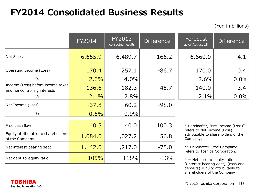# **FY2014 Consolidated Business Results**

(Yen in billions)

|                                                                   | FY2014  | FY2013<br>corrected results | <b>Difference</b> | Forecast<br>as of August 18                                     | <b>Difference</b>                   |
|-------------------------------------------------------------------|---------|-----------------------------|-------------------|-----------------------------------------------------------------|-------------------------------------|
| Net Sales                                                         | 6,655.9 | 6,489.7                     | 166.2             | 6,660.0                                                         | $-4.1$                              |
| Operating Income (Loss)                                           | 170.4   | 257.1                       | $-86.7$           | 170.0                                                           | 0.4                                 |
| $\%$                                                              | 2.6%    | 4.0%                        |                   | 2.6%                                                            | 0.0%                                |
| Income (Loss) before income taxes<br>and noncontrolling interests | 136.6   | 182.3                       | $-45.7$           | 140.0                                                           | $-3.4$                              |
| $\%$                                                              | 2.1%    | 2.8%                        |                   | 2.1%                                                            | 0.0%                                |
| Net Income (Loss)                                                 | $-37.8$ | 60.2                        | $-98.0$           |                                                                 |                                     |
| $\%$                                                              | $-0.6%$ | 0.9%                        |                   |                                                                 |                                     |
| Free cash flow                                                    | 140.3   | 40.0                        | 100.3             | refers to Net Income (Loss)                                     | * Hereinafter, "Net Income (Loss)"  |
| Equity attributable to shareholders<br>of the Company             | 1,084.0 | 1,027.2                     | 56.8              | Company.                                                        | attributable to shareholders of the |
| Net interest-bearing debt                                         | 1,142.0 | 1,217.0                     | $-75.0$           | ** Hereinafter, "the Company"<br>refers to Toshiba Corporation. |                                     |
| Net debt-to-equity ratio                                          | 105%    | 118%                        | $-13%$            | *** Net debt-to-equity ratio:                                   |                                     |

[(interest-bearing debt)–(cash and deposits)]/Equity attributable to shareholders of the Company

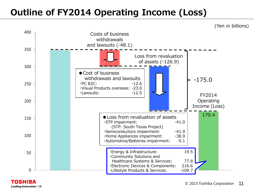# **Outline of FY2014 Operating Income (Loss)**



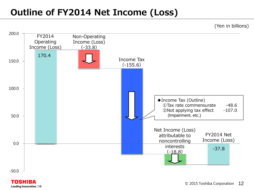# **Outline of FY2014 Net Income (Loss)**

(Yen in billions)



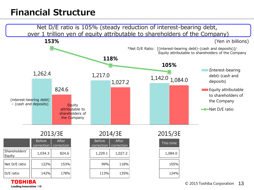# **Financial Structure**



Leading Innovation >>>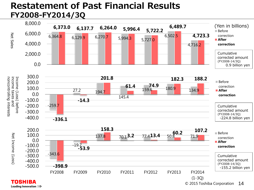### **Restatement of Past Financial Results FY2008-FY2014/3Q**



Leading Innovation >>>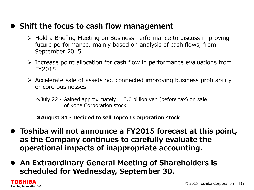### **Shift the focus to cash flow management**

- $\triangleright$  Hold a Briefing Meeting on Business Performance to discuss improving future performance, mainly based on analysis of cash flows, from September 2015.
- $\triangleright$  Increase point allocation for cash flow in performance evaluations from FY2015
- $\triangleright$  Accelerate sale of assets not connected improving business profitability or core businesses
	- ※July 22 Gained approximately 113.0 billion yen (before tax) on sale of Kone Corporation stock

#### **※August 31 - Decided to sell Topcon Corporation stock**

- **Toshiba will not announce a FY2015 forecast at this point, as the Company continues to carefully evaluate the operational impacts of inappropriate accounting.**
- **An Extraordinary General Meeting of Shareholders is scheduled for Wednesday, September 30.**

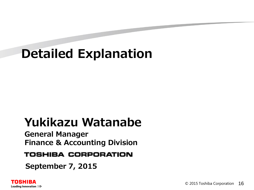# **Detailed Explanation**

# **Yukikazu Watanabe**

**General Manager Finance & Accounting Division**

### **TOSHIBA CORPORATION**

**September 7, 2015**

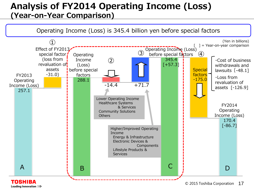## **Analysis of FY2014 Operating Income (Loss) (Year-on-Year Comparison)**



Leading Innovation >>>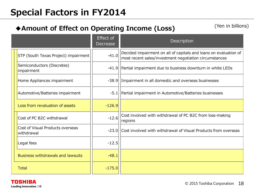# **Special Factors in FY2014**

### **◆Amount of Effect on Operating Income (Loss)**

(Yen in billions)

|                                                | <b>Effect</b> of<br>Decrease | Description                                                                                                                |
|------------------------------------------------|------------------------------|----------------------------------------------------------------------------------------------------------------------------|
| STP (South Texas Project) impairment           | $-41.0$                      | Decided impairment on all of capitals and loans on evaluation of<br>most recent sales/investment negotiation circumstances |
| Semiconductors (Discretes)<br>impairment       | $-41.9$                      | Partial impairment due to business downturn in white LEDs                                                                  |
| Home Appliances impairment                     | $-38.9$                      | Impairment in all domestic and overseas businesses                                                                         |
| Automotive/Batteries impairment                | $-5.1$                       | Partial impairment in Automotive/Batteries businesses                                                                      |
| Loss from revaluation of assets                | $-126.9$                     |                                                                                                                            |
| Cost of PC B2C withdrawal                      | $-12.6$                      | Cost involved with withdrawal of PC B2C from loss-making<br>regions                                                        |
| Cost of Visual Products overseas<br>withdrawal | $-23.0$                      | Cost involved with withdrawal of Visual Products from overseas                                                             |
| Legal fees                                     | $-12.5$                      |                                                                                                                            |
| <b>Business withdrawals and lawsuits</b>       | $-48.1$                      |                                                                                                                            |
| <b>Total</b>                                   | $-175.0$                     |                                                                                                                            |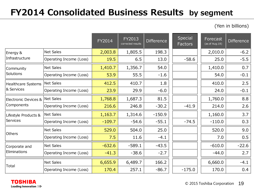# **FY2014 Consolidated Business Results by segment**

(Yen in billions)

|                                    |                         | FY2014   | FY2013<br>corrected results | <b>Difference</b> | Special<br>Factors | Forecast<br>(as of Aug.18) | <b>Difference</b> |
|------------------------------------|-------------------------|----------|-----------------------------|-------------------|--------------------|----------------------------|-------------------|
| Energy &                           | <b>Net Sales</b>        | 2,003.8  | 1,805.5                     | 198.3             |                    | 2,010.0                    | $-6.2$            |
| Infrastructure                     | Operating Income (Loss) | 19.5     | 6.5                         | 13.0              | $-58.6$            | 25.0                       | $-5.5$            |
| Community                          | <b>Net Sales</b>        | 1,410.7  | 1,356.7                     | 54.0              |                    | 1,410.0                    | 0.7               |
| Solutions                          | Operating Income (Loss) | 53.9     | 55.5                        | $-1.6$            |                    | 54.0                       | $-0.1$            |
| Healthcare Systems                 | Net Sales               | 412.5    | 410.7                       | 1.8               |                    | 410.0                      | 2.5               |
| <b>&amp; Services</b>              | Operating Income (Loss) | 23.9     | 29.9                        | $-6.0$            |                    | 24.0                       | $-0.1$            |
| Electronic Devices &<br>Components | Net Sales               | 1,768.8  | 1,687.3                     | 81.5              |                    | 1,760.0                    | 8.8               |
|                                    | Operating Income (Loss) | 216.6    | 246.8                       | $-30.2$           | $-41.9$            | 214.0                      | 2.6               |
| Lifestyle Products &               | Net Sales               | 1,163.7  | 1,314.6                     | $-150.9$          |                    | 1,160.0                    | 3.7               |
| Services                           | Operating Income (Loss) | $-109.7$ | $-54.6$                     | $-55.1$           | $-74.5$            | $-110.0$                   | 0.3               |
|                                    | <b>Net Sales</b>        | 529.0    | 504.0                       | 25.0              |                    | 520.0                      | 9.0               |
| Others                             | Operating Income (Loss) | 7.5      | 11.6                        | $-4.1$            |                    | 7.0                        | 0.5               |
| Corporate and                      | Net Sales               | $-632.6$ | $-589.1$                    | $-43.5$           |                    | $-610.0$                   | $-22.6$           |
| Eliminations                       | Operating Income (Loss) | $-41.3$  | $-38.6$                     | $-2.7$            |                    | $-44.0$                    | 2.7               |
|                                    | <b>Net Sales</b>        | 6,655.9  | 6,489.7                     | 166.2             |                    | 6,660.0                    | $-4.1$            |
| Total                              | Operating Income (Loss) | 170.4    | 257.1                       | $-86.7$           | $-175.0$           | 170.0                      | 0.4               |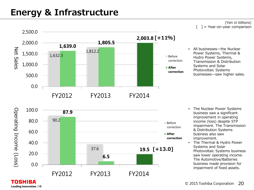# **Energy & Infrastructure**

**TOSHIBA** Leading Innovation >>>



(Yen in billions)  $=$  Year-on-year comparison

• All businesses—the Nuclear Power Systems, Thermal & Hydro Power Systems, Transmission & Distribution Systems and Solar Photovoltaic Systems businesses—saw higher sales.



- The Nuclear Power Systems business saw a significant improvement in operating income (loss) despite STP impairment. The Transmission & Distribution Systems business also saw improvement.
- The Thermal & Hydro Power Systems and Solar Photovoltaic Systems business saw lower operating income. The Automotive/Batteries business made provision for impairment of fixed assets.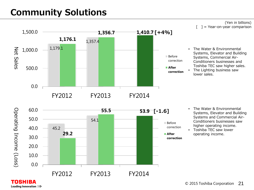# **Community Solutions**

Leading Innovation >>>



(Yen in billions)  $=$  Year-on-year comparison

- The Water & Environmental Systems, Elevator and Building Systems, Commercial Air-Conditioners businesses and Toshiba TEC saw higher sales.
- The Lighting business saw lower sales.



- The Water & Environmental Systems, Elevator and Building Systems and Commercial Air-Conditioners businesses saw higher operating income.
- Toshiba TEC saw lower operating income.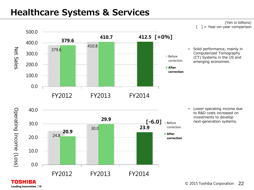# **Healthcare Systems & Services**

#### (Yen in billions) = Year-on-year comparison



• Solid performance, mainly in Computerized Tomography (CT) Systems in the US and emerging economies.

40.0 Operating Income (Loss) Operating Income (Loss) **29.9 [-6.0]** 30.0 Before **23.9** 30.0 **20.9** correction 24.8 **After** 20.0 **correction** 10.0 0.0 FY2012 FY2013 FY2014

**TOSHIBA** Leading Innovation >>> • Lower operating income due to R&D costs increased on investments to develop next-generation systems.

© 2015 Toshiba Corporation 22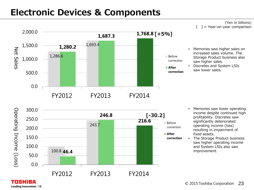## **Electronic Devices & Components**

#### (Yen in billions)  $=$  Year-on-year comparison



- Memories saw higher sales on increased sales volume. The Storage Product business also saw higher sales.
- Discretes and System LSIs saw lower sales.



Leading Innovation >>>

- Memories saw lower operating income despite continued high profitability. Discretes saw significantly deteriorated operating income (loss) resulting in impairment of fixed assets.
- The Storage Product business saw higher operating income and System LSIs also saw improvement.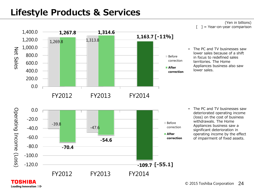# **Lifestyle Products & Services**

Leading Innovation >>>



(Yen in billions)  $=$  Year-on-year comparison

The PC and TV businesses saw lower sales because of a shift in focus to redefined sales territories. The Home Appliances business also saw lower sales.

• The PC and TV businesses saw deteriorated operating income (loss) on the cost of business withdrawals. The Home Appliances business saw a significant deterioration in operating income by the effect of impairment of fixed assets.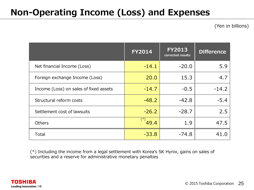# **Non-Operating Income (Loss) and Expenses**

(Yen in billions)

|                                        | <b>FY2014</b> | <b>FY2013</b><br>corrected results | <b>Difference</b> |
|----------------------------------------|---------------|------------------------------------|-------------------|
| Net financial Income (Loss)            | $-14.1$       | $-20.0$                            | 5.9               |
| Foreign exchange Income (Loss)         | 20.0          | 15.3                               | 4.7               |
| Income (Loss) on sales of fixed assets | $-14.7$       | $-0.5$                             | $-14.2$           |
| Structural reform costs                | $-48.2$       | $-42.8$                            | $-5.4$            |
| Settlement cost of lawsuits            | $-26.2$       | $-28.7$                            | 2.5               |
| <b>Others</b>                          | $(*)$<br>49.4 | 1.9                                | 47.5              |
| Total                                  | $-33.8$       | $-74.8$                            | 41.0              |

(\*) Including the income from a legal settlement with Korea's SK Hynix, gains on sales of securities and a reserve for administrative monetary penalties

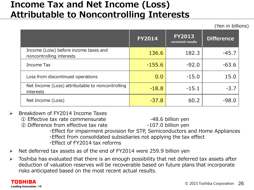## **Income Tax and Net Income (Loss) Attributable to Noncontrolling Interests**

(Yen in billions)

|                                                                   | <b>FY2014</b> | <b>FY2013</b><br>corrected results | <b>Difference</b> |
|-------------------------------------------------------------------|---------------|------------------------------------|-------------------|
| Income (Loss) before income taxes and<br>noncontrolling interests | 136.6         | 182.3                              | $-45.7$           |
| Income Tax                                                        | $-155.6$      | $-92.0$                            | $-63.6$           |
| Loss from discontinued operations                                 | 0.0           | $-15.0$                            | 15.0              |
| Net Income (Loss) attributable to noncontrolling<br>interests     | $-18.8$       | $-15.1$                            | $-3.7$            |
| Net Income (Loss)                                                 | $-37.8$       | 60.2                               | $-98.0$           |

- Breakdown of FY2014 Income Taxes
	- ① Effective tax rate commensurate -48.6 billion yen

② Difference from effective tax rate -107.0 billion yen

- ・Effect for impairment provision for STP, Semiconductors and Home Appliances
- ・Effect from consolidated subsidiaries not applying the tax effect
- ・Effect of FY2014 tax reforms
- $\triangleright$  Net deferred tax assets as of the end of FY2014 were 259.9 billion yen
- $\triangleright$  Toshiba has evaluated that there is an enough possibility that net deferred tax assets after deduction of valuation reserves will be recoverable based on future plans that incorporate risks anticipated based on the most recent actual results.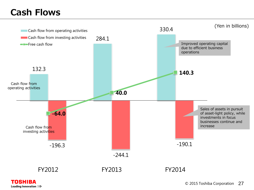# **Cash Flows**



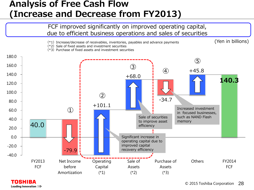## **Analysis of Free Cash Flow (Increase and Decrease from FY2013)**



**TOSHIBA** Leading Innovation >>>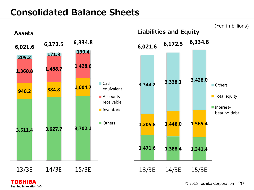# **Consolidated Balance Sheets**



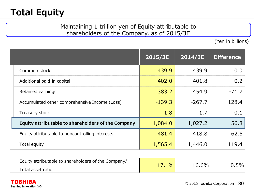# **Total Equity**

#### Maintaining 1 trillion yen of Equity attributable to shareholders of the Company, as of 2015/3E

(Yen in billions)

|                                                    | 2015/3E  | 2014/3E  | <b>Difference</b> |
|----------------------------------------------------|----------|----------|-------------------|
| Common stock                                       | 439.9    | 439.9    | 0.0               |
| Additional paid-in capital                         | 402.0    | 401.8    | 0.2               |
| Retained earnings                                  | 383.2    | 454.9    | $-71.7$           |
| Accumulated other comprehensive Income (Loss)      | $-139.3$ | $-267.7$ | 128.4             |
| Treasury stock                                     | $-1.8$   | $-1.7$   | $-0.1$            |
| Equity attributable to shareholders of the Company | 1,084.0  | 1,027.2  | 56.8              |
| Equity attributable to noncontrolling interests    | 481.4    | 418.8    | 62.6              |
| Total equity                                       | 1,565.4  | 1,446.0  | 119.4             |

| Equity attributable to shareholders of the Company/ | $\frac{10}{6}$ | 16.6% | $0.5\%$ $ $ |
|-----------------------------------------------------|----------------|-------|-------------|
| Total asset ratio                                   |                |       |             |

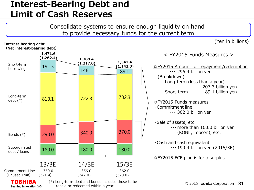## **Interest-Bearing Debt and Limit of Cash Reserves**

Consolidate systems to ensure enough liquidity on hand to provide necessary funds for the current term

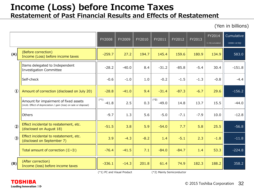# **Income (Loss) before Income Taxes**

**Restatement of Past Financial Results and Effects of Restatement**

(Yen in billions)

|               |                                                                                                            | FY2008            | FY2009  | FY2010 | FY2011            | FY2012  | FY2013 | FY2014<br>(1-3Q cumulative) | Cumulative<br>$(2008 - 14/3Q)$ |
|---------------|------------------------------------------------------------------------------------------------------------|-------------------|---------|--------|-------------------|---------|--------|-----------------------------|--------------------------------|
| (A)           | (Before correction)<br>Income (Loss) before income taxes                                                   | $-259.7$          | 27.2    | 194.7  | 145.4             | 159.6   | 180.9  | 134.9                       | 583.0                          |
|               | Items delegated to Independent<br>Investigation Committee                                                  | $-28.2$           | $-40.0$ | 8.4    | $-31.2$           | $-85.8$ | $-5.4$ | 30.4                        | $-151.8$                       |
|               | Self-check                                                                                                 | $-0.6$            | $-1.0$  | 1.0    | $-0.2$            | $-1.5$  | $-1.3$ | $-0.8$                      | $-4.4$                         |
| $\bigcirc$    | Amount of correction (disclosed on July 20)                                                                | $-28.8$           | $-41.0$ | 9.4    | $-31.4$           | $-87.3$ | $-6.7$ | 29.6                        | $-156.2$                       |
|               | Amount for impairment of fixed assets<br>(incld. Effect of depreciation / gain (loss) on sale or disposal) | $(*1)$<br>$-41.8$ | 2.5     | 0.3    | $(*2)$<br>$-49.0$ | 14.8    | 13.7   | 15.5                        | $-44.0$                        |
|               | Others                                                                                                     | $-9.7$            | 1.3     | 5.6    | $-5.0$            | $-7.1$  | $-7.9$ | 10.0                        | $-12.8$                        |
| $\circled{2}$ | Effect incidental to restatement, etc.<br>(disclosed on August 18)                                         | $-51.5$           | 3.8     | 5.9    | $-54.0$           | 7.7     | 5.8    | 25.5                        | $-56.8$                        |
| $\circled{3}$ | Effect incidental to restatement, etc.<br>(disclosed on September 7)                                       | 3.9               | $-4.3$  | $-8.2$ | 1.4               | $-5.1$  | 2.3    | $-1.8$                      | $-11.8$                        |
|               | Total amount of correction $(1)$ -3)                                                                       | $-76.4$           | $-41.5$ | 7.1    | $-84.0$           | $-84.7$ | 1.4    | 53.3                        | $-224.8$                       |
| (B)           | (After correction)<br>Income (loss) before income taxes                                                    | $-336.1$          | $-14.3$ | 201.8  | 61.4              | 74.9    | 182.3  | 188.2                       | 358.2                          |

(\*1) PC and Visual Product (\*2) Mainly Semiconductor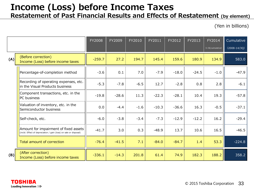# **Income (Loss) before Income Taxes**

### **Restatement of Past Financial Results and Effects of Restatement (by element)**

(Yen in billions)

|     |                                                                                                            | FY2008   | FY2009  | FY2010 | FY2011  | FY2012  | FY2013  | FY2014<br>(1-3Q cumulative) | Cumulative<br>$(2008 - 14/3Q)$ |
|-----|------------------------------------------------------------------------------------------------------------|----------|---------|--------|---------|---------|---------|-----------------------------|--------------------------------|
| (A) | (Before correction)<br>Income (Loss) before income taxes                                                   | $-259.7$ | 27.2    | 194.7  | 145.4   | 159.6   | 180.9   | 134.9                       | 583.0                          |
|     | Percentage-of-completion method                                                                            | $-3.6$   | 0.1     | 7.0    | $-7.9$  | $-18.0$ | $-24.5$ | $-1.0$                      | $-47.9$                        |
|     | Recording of operating expenses, etc.<br>in the Visual Products business                                   | $-5.3$   | $-7.8$  | $-6.5$ | 12.7    | $-2.8$  | 0.8     | 2.8                         | $-6.1$                         |
|     | Component transactions, etc. in the<br>PC business                                                         | $-19.8$  | $-28.6$ | 11.3   | $-22.3$ | $-28.1$ | 10.4    | 19.3                        | $-57.8$                        |
|     | Valuation of inventory, etc. in the<br>Semiconductor business                                              | 0.0      | $-4.4$  | $-1.6$ | $-10.3$ | $-36.6$ | 16.3    | $-0.5$                      | $-37.1$                        |
|     | Self-check, etc.                                                                                           | $-6.0$   | $-3.8$  | $-3.4$ | $-7.3$  | $-12.9$ | $-12.2$ | 16.2                        | $-29.4$                        |
|     | Amount for impairment of fixed assets<br>(incld. Effect of depreciation / gain (loss) on sale or disposal) | $-41.7$  | 3.0     | 0.3    | $-48.9$ | 13.7    | 10.6    | 16.5                        | $-46.5$                        |
|     | Total amount of correction                                                                                 | $-76.4$  | $-41.5$ | 7.1    | $-84.0$ | $-84.7$ | 1.4     | 53.3                        | $-224.8$                       |
| (B) | (After correction)<br>Income (Loss) before income taxes                                                    | $-336.1$ | $-14.3$ | 201.8  | 61.4    | 74.9    | 182.3   | 188.2                       | 358.2                          |

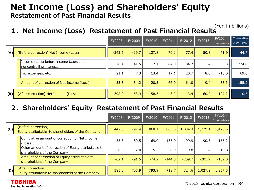# **Net Income (Loss) and Shareholders' Equity**

**Restatement of Past Financial Results**

#### **1.Net Income (Loss) Restatement of Past Financial Results** (Yen in billions)

|     |                                                                   | <b>FY2008</b> | FY2009  | FY2010 | FY2011  | FY2012  | FY2013 | FY2014<br>(1-30 Cumulative) | Cumulative<br>$(2008-14/3Q)$ |
|-----|-------------------------------------------------------------------|---------------|---------|--------|---------|---------|--------|-----------------------------|------------------------------|
| (A) | (Before correction) Net Income (Loss)                             | $-343.6$      | $-19.7$ | 137.8  | 70.1    | 77.4    | 50.8   | 71.9                        | 44.7                         |
|     | Income (Loss) before income taxes and<br>noncontrolling interests | $-76.4$       | $-41.5$ | 7.1    | $-84.0$ | $-84.7$ | 1.4    | 53.3                        | $-224.8$                     |
|     | Tax expenses, etc.                                                | 21.1          | 7.3     | 13.4   | 17.1    | 20.7    | 8.0    | $-18.0$                     | 69.6                         |
|     | Amount of correction of Net Income (Loss)                         | $-55.3$       | $-34.2$ | 20.5   | $-66.9$ | $-64.0$ | 9.4    | 35.3                        | $-155.2$                     |
| (B) | (After correction) Net Income (Loss)                              | $-398.9$      | $-53.9$ | 158.3  | 3.2     | 13.4    | 60.2   | 107.2                       | $-110.5$                     |

### **2.Shareholders' Equity Restatement of Past Financial Results**

|     |                                                                                     | <b>FY2008</b> | FY2009  | FY2010  | FY2011   | FY2012   | FY2013   | FY2014<br>(1-3Q Cumulative) |
|-----|-------------------------------------------------------------------------------------|---------------|---------|---------|----------|----------|----------|-----------------------------|
| (C) | (Before correction)<br>Equity attributable to shareholders of the Company           | 447.3         | 797.4   | 868.1   | 863.5    | 1,034.3  | 1,229.1  | 1,426.5                     |
|     | Cumulative amount of correction of Net Income<br>(Loss)                             | $-55.3$       | $-89.5$ | $-69.0$ | $-135.9$ | $-199.9$ | $-190.5$ | $-155.2$                    |
|     | Other amount of correction of Equity attributable to<br>shareholders of the Company | $-6.8$        | $-2.0$  | $-5.2$  | $-8.9$   | $-9.8$   | $-11.4$  | $-13.8$                     |
|     | Amount of correction of Equity attributable to<br>shareholders of the Company       | $-62.1$       | $-91.5$ | $-74.2$ | $-144.8$ | $-209.7$ | $-201.9$ | $-169.0$                    |
| (D) | (After correction)<br>Equity attributable to shareholders of the Company            | 385.2         | 705.9   | 793.9   | 718.7    | 824.6    | 1,027.2  | 1,257.5                     |